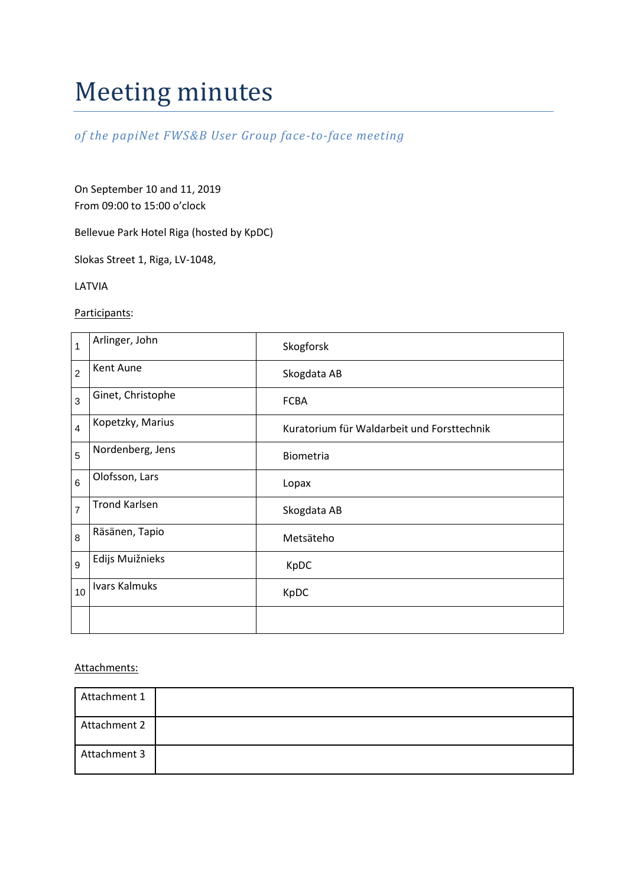# Meeting minutes

*of the papiNet FWS&B User Group face-to-face meeting*

On September 10 and 11, 2019 From 09:00 to 15:00 o'clock

Bellevue Park Hotel Riga (hosted by KpDC)

Slokas Street 1, Riga, LV-1048,

LATVIA

Participants:

| $\overline{1}$ | Arlinger, John       | Skogforsk                                  |
|----------------|----------------------|--------------------------------------------|
| $\overline{c}$ | Kent Aune            | Skogdata AB                                |
| 3              | Ginet, Christophe    | <b>FCBA</b>                                |
| $\overline{4}$ | Kopetzky, Marius     | Kuratorium für Waldarbeit und Forsttechnik |
| 5              | Nordenberg, Jens     | Biometria                                  |
| 6              | Olofsson, Lars       | Lopax                                      |
| $\overline{7}$ | <b>Trond Karlsen</b> | Skogdata AB                                |
| 8              | Räsänen, Tapio       | Metsäteho                                  |
| 9              | Edijs Muižnieks      | KpDC                                       |
| 10             | Ivars Kalmuks        | KpDC                                       |
|                |                      |                                            |

# Attachments:

| Attachment 1 |  |
|--------------|--|
| Attachment 2 |  |
| Attachment 3 |  |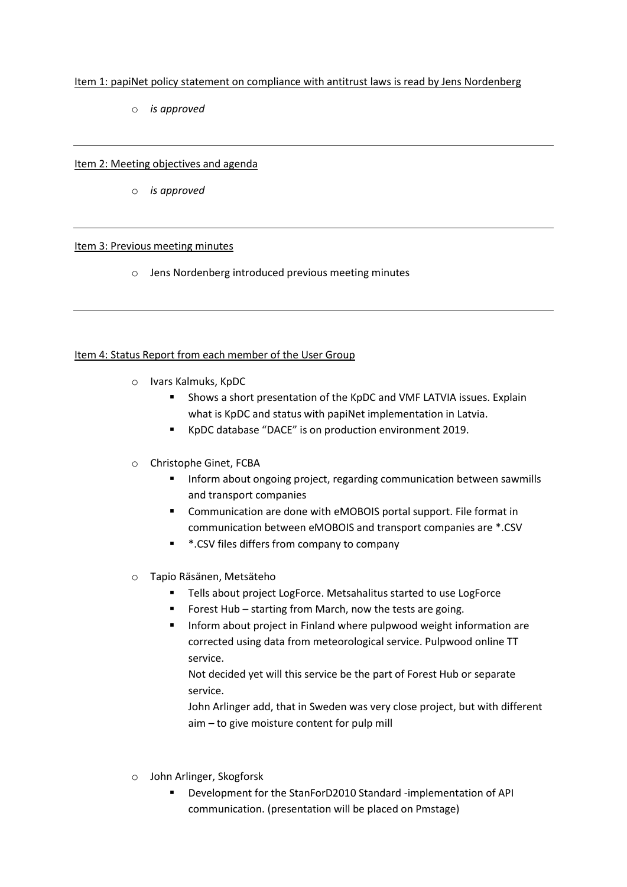# Item 1: papiNet policy statement on compliance with antitrust laws is read by Jens Nordenberg

o *is approved*

## Item 2: Meeting objectives and agenda

o *is approved*

## Item 3: Previous meeting minutes

o Jens Nordenberg introduced previous meeting minutes

## Item 4: Status Report from each member of the User Group

- o Ivars Kalmuks, KpDC
	- Shows a short presentation of the KpDC and VMF LATVIA issues. Explain what is KpDC and status with papiNet implementation in Latvia.
	- KpDC database "DACE" is on production environment 2019.
- o Christophe Ginet, FCBA
	- **Inform about ongoing project, regarding communication between sawmills** and transport companies
	- **EXP** Communication are done with eMOBOIS portal support. File format in communication between eMOBOIS and transport companies are \*.CSV
	- **\*** \*.CSV files differs from company to company
- o Tapio Räsänen, Metsäteho
	- **Tells about project LogForce. Metsahalitus started to use LogForce**
	- **FICT** Forest Hub starting from March, now the tests are going.
	- **Inform about project in Finland where pulpwood weight information are** corrected using data from meteorological service. Pulpwood online TT service.

Not decided yet will this service be the part of Forest Hub or separate service.

John Arlinger add, that in Sweden was very close project, but with different aim – to give moisture content for pulp mill

- o John Arlinger, Skogforsk
	- Development for the StanForD2010 Standard -implementation of API communication. (presentation will be placed on Pmstage)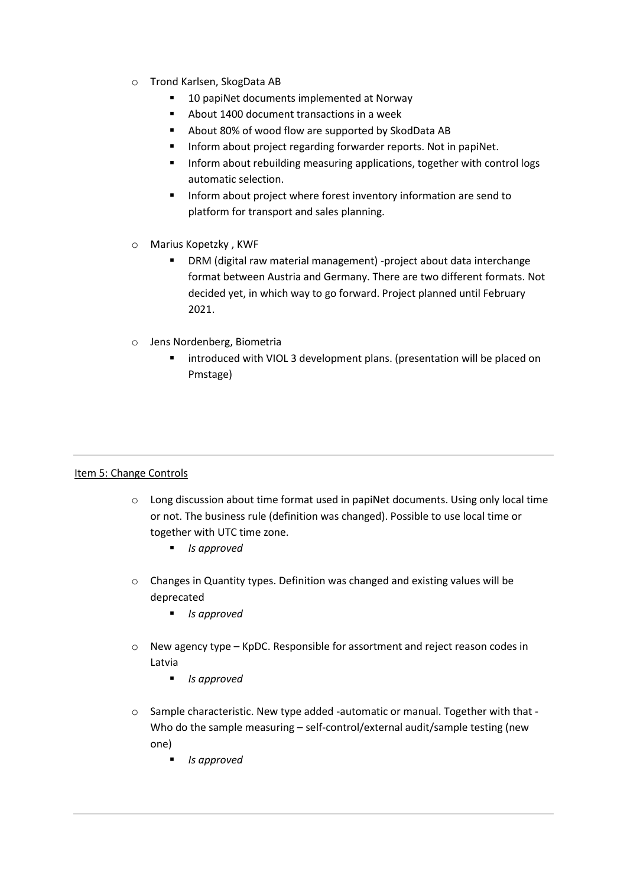- o Trond Karlsen, SkogData AB
	- 10 papiNet documents implemented at Norway
	- About 1400 document transactions in a week
	- About 80% of wood flow are supported by SkodData AB
	- **Inform about project regarding forwarder reports. Not in papiNet.**
	- Inform about rebuilding measuring applications, together with control logs automatic selection.
	- **Inform about project where forest inventory information are send to** platform for transport and sales planning.
- o Marius Kopetzky , KWF
	- DRM (digital raw material management) -project about data interchange format between Austria and Germany. There are two different formats. Not decided yet, in which way to go forward. Project planned until February 2021.
- o Jens Nordenberg, Biometria
	- introduced with VIOL 3 development plans. (presentation will be placed on Pmstage)

# Item 5: Change Controls

- $\circ$  Long discussion about time format used in papiNet documents. Using only local time or not. The business rule (definition was changed). Possible to use local time or together with UTC time zone.
	- *Is approved*
- o Changes in Quantity types. Definition was changed and existing values will be deprecated
	- *Is approved*
- o New agency type KpDC. Responsible for assortment and reject reason codes in Latvia
	- *Is approved*
- $\circ$  Sample characteristic. New type added -automatic or manual. Together with that -Who do the sample measuring - self-control/external audit/sample testing (new one)
	- *Is approved*